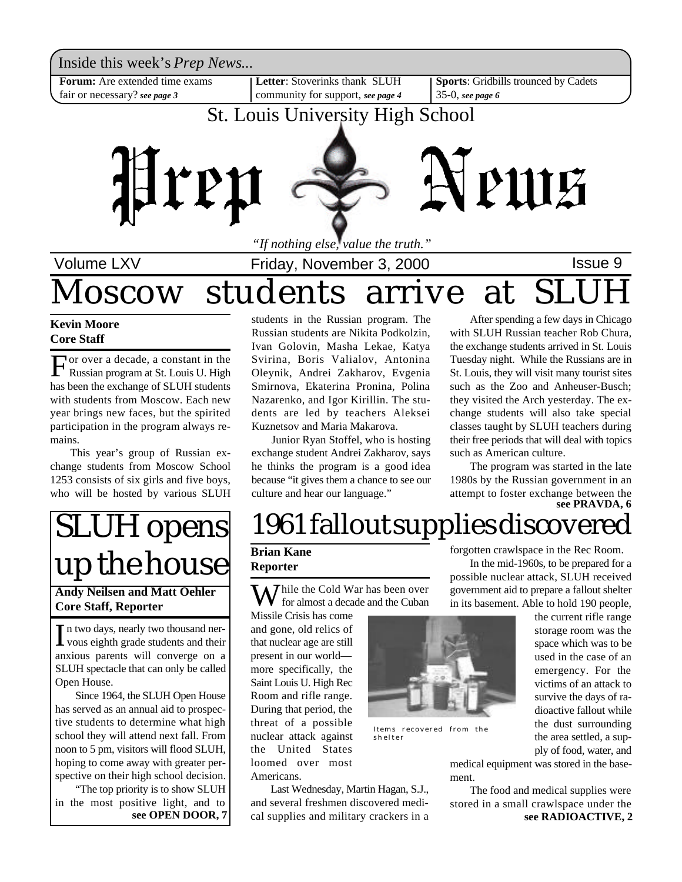Inside this week's *Prep News*...

**Forum:** Are extended time exams fair or necessary? *see page 3*

**Letter**: Stoverinks thank SLUH community for support, *see page 4* **Sports**: Gridbills trounced by Cadets 35-0, *see page 6*

### St. Louis University High School



*"If nothing else, value the truth."*

Volume LXV **Interpreter Collect Friday, November 3, 2000 ISSUE 9** 

### Ioscow students arrive

**Kevin Moore Core Staff**

For over a decade, a constant in the<br>Russian program at St. Louis U. High<br>has been the exchange of SLUH students or over a decade, a constant in the Russian program at St. Louis U. High with students from Moscow. Each new year brings new faces, but the spirited participation in the program always remains.

This year's group of Russian exchange students from Moscow School 1253 consists of six girls and five boys, who will be hosted by various SLUH

students in the Russian program. The Russian students are Nikita Podkolzin, Ivan Golovin, Masha Lekae, Katya Svirina, Boris Valialov, Antonina Oleynik, Andrei Zakharov, Evgenia Smirnova, Ekaterina Pronina, Polina Nazarenko, and Igor Kirillin. The students are led by teachers Aleksei Kuznetsov and Maria Makarova.

Junior Ryan Stoffel, who is hosting exchange student Andrei Zakharov, says he thinks the program is a good idea because "it gives them a chance to see our culture and hear our language."

After spending a few days in Chicago with SLUH Russian teacher Rob Chura, the exchange students arrived in St. Louis Tuesday night. While the Russians are in St. Louis, they will visit many tourist sites such as the Zoo and Anheuser-Busch; they visited the Arch yesterday. The exchange students will also take special classes taught by SLUH teachers during their free periods that will deal with topics such as American culture.

**see PRAVDA, 6** The program was started in the late 1980s by the Russian government in an attempt to foster exchange between the

## SLUH opens up the house

#### **Andy Neilsen and Matt Oehler Core Staff, Reporter**

In two days, nearly two thousand ner-<br>vous eighth grade students and their vous eighth grade students and their anxious parents will converge on a SLUH spectacle that can only be called Open House.

Since 1964, the SLUH Open House has served as an annual aid to prospective students to determine what high school they will attend next fall. From noon to 5 pm, visitors will flood SLUH, hoping to come away with greater perspective on their high school decision.

"The top priority is to show SLUH in the most positive light, and to **see OPEN DOOR, 7**

## 1961 fallout supplies discovered

#### **Brian Kane Reporter**

 $\sum$  *T* hile the Cold War has been over for almost a decade and the Cuban

Missile Crisis has come and gone, old relics of that nuclear age are still present in our world more specifically, the Saint Louis U. High Rec Room and rifle range. During that period, the threat of a possible nuclear attack against the United States loomed over most Americans.

Last Wednesday, Martin Hagan, S.J., and several freshmen discovered medical supplies and military crackers in a



Items recovered from the shelter

forgotten crawlspace in the Rec Room. In the mid-1960s, to be prepared for a

possible nuclear attack, SLUH received government aid to prepare a fallout shelter in its basement. Able to hold 190 people,

> the current rifle range storage room was the space which was to be used in the case of an emergency. For the victims of an attack to survive the days of radioactive fallout while the dust surrounding the area settled, a supply of food, water, and

medical equipment was stored in the basement.

**see RADIOACTIVE, 2** The food and medical supplies were stored in a small crawlspace under the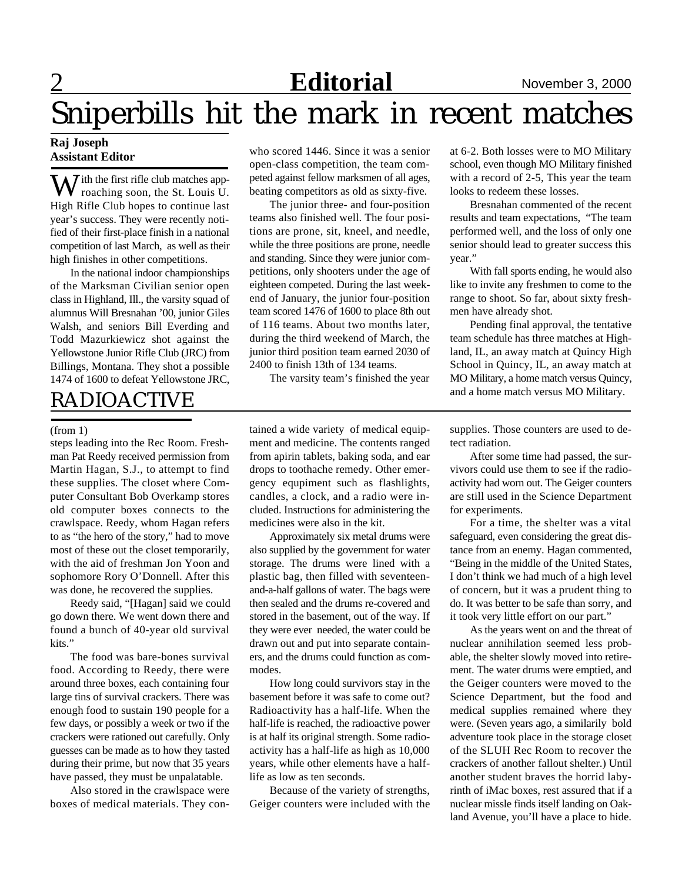### **Editorial** November 3, 2000

## Sniperbills hit the mark in recent matches

#### **Raj Joseph Assistant Editor**

W ith the first rifle club matches approaching soon, the St. Louis U. High Rifle Club hopes to continue last year's success. They were recently notified of their first-place finish in a national competition of last March, as well as their high finishes in other competitions.

In the national indoor championships of the Marksman Civilian senior open class in Highland, Ill., the varsity squad of alumnus Will Bresnahan '00, junior Giles Walsh, and seniors Bill Everding and Todd Mazurkiewicz shot against the Yellowstone Junior Rifle Club (JRC) from Billings, Montana. They shot a possible 1474 of 1600 to defeat Yellowstone JRC,

### RADIOACTIVE

#### (from 1)

steps leading into the Rec Room. Freshman Pat Reedy received permission from Martin Hagan, S.J., to attempt to find these supplies. The closet where Computer Consultant Bob Overkamp stores old computer boxes connects to the crawlspace. Reedy, whom Hagan refers to as "the hero of the story," had to move most of these out the closet temporarily, with the aid of freshman Jon Yoon and sophomore Rory O'Donnell. After this was done, he recovered the supplies.

Reedy said, "[Hagan] said we could go down there. We went down there and found a bunch of 40-year old survival kits."

The food was bare-bones survival food. According to Reedy, there were around three boxes, each containing four large tins of survival crackers. There was enough food to sustain 190 people for a few days, or possibly a week or two if the crackers were rationed out carefully. Only guesses can be made as to how they tasted during their prime, but now that 35 years have passed, they must be unpalatable.

Also stored in the crawlspace were boxes of medical materials. They con-

who scored 1446. Since it was a senior open-class competition, the team competed against fellow marksmen of all ages, beating competitors as old as sixty-five.

The junior three- and four-position teams also finished well. The four positions are prone, sit, kneel, and needle, while the three positions are prone, needle and standing. Since they were junior competitions, only shooters under the age of eighteen competed. During the last weekend of January, the junior four-position team scored 1476 of 1600 to place 8th out of 116 teams. About two months later, during the third weekend of March, the junior third position team earned 2030 of 2400 to finish 13th of 134 teams.

The varsity team's finished the year

tained a wide variety of medical equipment and medicine. The contents ranged from apirin tablets, baking soda, and ear drops to toothache remedy. Other emergency equpiment such as flashlights, candles, a clock, and a radio were included. Instructions for administering the medicines were also in the kit.

Approximately six metal drums were also supplied by the government for water storage. The drums were lined with a plastic bag, then filled with seventeenand-a-half gallons of water. The bags were then sealed and the drums re-covered and stored in the basement, out of the way. If they were ever needed, the water could be drawn out and put into separate containers, and the drums could function as commodes.

How long could survivors stay in the basement before it was safe to come out? Radioactivity has a half-life. When the half-life is reached, the radioactive power is at half its original strength. Some radioactivity has a half-life as high as 10,000 years, while other elements have a halflife as low as ten seconds.

Because of the variety of strengths, Geiger counters were included with the at 6-2. Both losses were to MO Military school, even though MO Military finished with a record of 2-5, This year the team looks to redeem these losses.

Bresnahan commented of the recent results and team expectations, "The team performed well, and the loss of only one senior should lead to greater success this year."

With fall sports ending, he would also like to invite any freshmen to come to the range to shoot. So far, about sixty freshmen have already shot.

Pending final approval, the tentative team schedule has three matches at Highland, IL, an away match at Quincy High School in Quincy, IL, an away match at MO Military, a home match versus Quincy, and a home match versus MO Military.

supplies. Those counters are used to detect radiation.

After some time had passed, the survivors could use them to see if the radioactivity had worn out. The Geiger counters are still used in the Science Department for experiments.

For a time, the shelter was a vital safeguard, even considering the great distance from an enemy. Hagan commented, "Being in the middle of the United States, I don't think we had much of a high level of concern, but it was a prudent thing to do. It was better to be safe than sorry, and it took very little effort on our part."

As the years went on and the threat of nuclear annihilation seemed less probable, the shelter slowly moved into retirement. The water drums were emptied, and the Geiger counters were moved to the Science Department, but the food and medical supplies remained where they were. (Seven years ago, a similarily bold adventure took place in the storage closet of the SLUH Rec Room to recover the crackers of another fallout shelter.) Until another student braves the horrid labyrinth of iMac boxes, rest assured that if a nuclear missle finds itself landing on Oakland Avenue, you'll have a place to hide.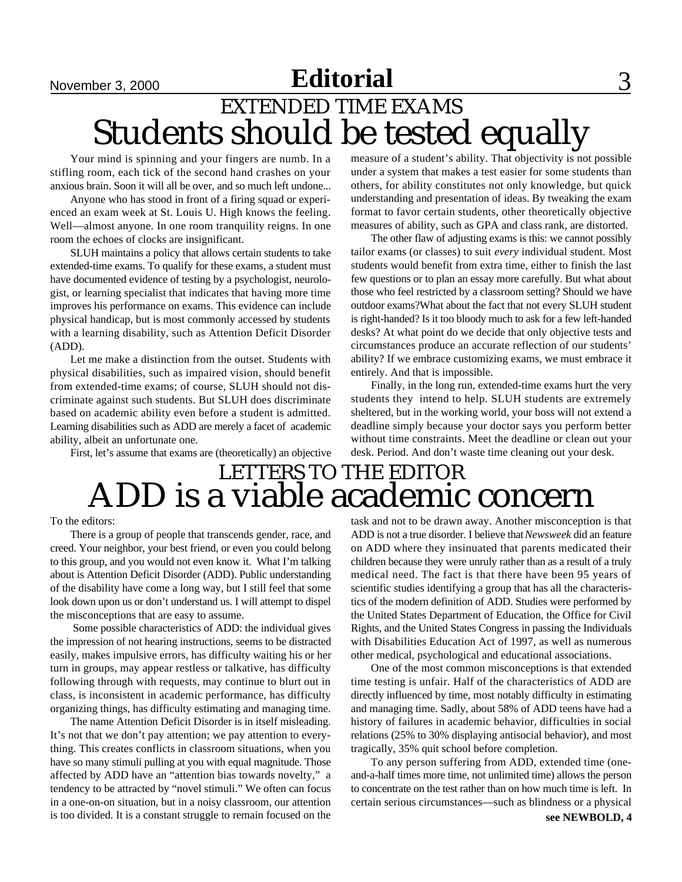### **November 3, 2000 <b>Editorial** 3 EXTENDED TIME EXAMS Students should be tested equally

Your mind is spinning and your fingers are numb. In a stifling room, each tick of the second hand crashes on your anxious brain. Soon it will all be over, and so much left undone...

Anyone who has stood in front of a firing squad or experienced an exam week at St. Louis U. High knows the feeling. Well—almost anyone. In one room tranquility reigns. In one room the echoes of clocks are insignificant.

SLUH maintains a policy that allows certain students to take extended-time exams. To qualify for these exams, a student must have documented evidence of testing by a psychologist, neurologist, or learning specialist that indicates that having more time improves his performance on exams. This evidence can include physical handicap, but is most commonly accessed by students with a learning disability, such as Attention Deficit Disorder (ADD).

Let me make a distinction from the outset. Students with physical disabilities, such as impaired vision, should benefit from extended-time exams; of course, SLUH should not discriminate against such students. But SLUH does discriminate based on academic ability even before a student is admitted. Learning disabilities such as ADD are merely a facet of academic ability, albeit an unfortunate one.

First, let's assume that exams are (theoretically) an objective

measure of a student's ability. That objectivity is not possible under a system that makes a test easier for some students than others, for ability constitutes not only knowledge, but quick understanding and presentation of ideas. By tweaking the exam format to favor certain students, other theoretically objective measures of ability, such as GPA and class rank, are distorted.

The other flaw of adjusting exams is this: we cannot possibly tailor exams (or classes) to suit *every* individual student. Most students would benefit from extra time, either to finish the last few questions or to plan an essay more carefully. But what about those who feel restricted by a classroom setting? Should we have outdoor exams?What about the fact that not every SLUH student is right-handed? Is it too bloody much to ask for a few left-handed desks? At what point do we decide that only objective tests and circumstances produce an accurate reflection of our students' ability? If we embrace customizing exams, we must embrace it entirely. And that is impossible.

Finally, in the long run, extended-time exams hurt the very students they intend to help. SLUH students are extremely sheltered, but in the working world, your boss will not extend a deadline simply because your doctor says you perform better without time constraints. Meet the deadline or clean out your desk. Period. And don't waste time cleaning out your desk.

### LETTERS TO THE EDITOR ADD is a viable academic concern

#### To the editors:

There is a group of people that transcends gender, race, and creed. Your neighbor, your best friend, or even you could belong to this group, and you would not even know it. What I'm talking about is Attention Deficit Disorder (ADD). Public understanding of the disability have come a long way, but I still feel that some look down upon us or don't understand us. I will attempt to dispel the misconceptions that are easy to assume.

 Some possible characteristics of ADD: the individual gives the impression of not hearing instructions, seems to be distracted easily, makes impulsive errors, has difficulty waiting his or her turn in groups, may appear restless or talkative, has difficulty following through with requests, may continue to blurt out in class, is inconsistent in academic performance, has difficulty organizing things, has difficulty estimating and managing time.

The name Attention Deficit Disorder is in itself misleading. It's not that we don't pay attention; we pay attention to everything. This creates conflicts in classroom situations, when you have so many stimuli pulling at you with equal magnitude. Those affected by ADD have an "attention bias towards novelty," a tendency to be attracted by "novel stimuli." We often can focus in a one-on-on situation, but in a noisy classroom, our attention is too divided. It is a constant struggle to remain focused on the

task and not to be drawn away. Another misconception is that ADD is not a true disorder. I believe that *Newsweek* did an feature on ADD where they insinuated that parents medicated their children because they were unruly rather than as a result of a truly medical need. The fact is that there have been 95 years of scientific studies identifying a group that has all the characteristics of the modern definition of ADD. Studies were performed by the United States Department of Education, the Office for Civil Rights, and the United States Congress in passing the Individuals with Disabilities Education Act of 1997, as well as numerous other medical, psychological and educational associations.

One of the most common misconceptions is that extended time testing is unfair. Half of the characteristics of ADD are directly influenced by time, most notably difficulty in estimating and managing time. Sadly, about 58% of ADD teens have had a history of failures in academic behavior, difficulties in social relations (25% to 30% displaying antisocial behavior), and most tragically, 35% quit school before completion.

To any person suffering from ADD, extended time (oneand-a-half times more time, not unlimited time) allows the person to concentrate on the test rather than on how much time is left. In certain serious circumstances—such as blindness or a physical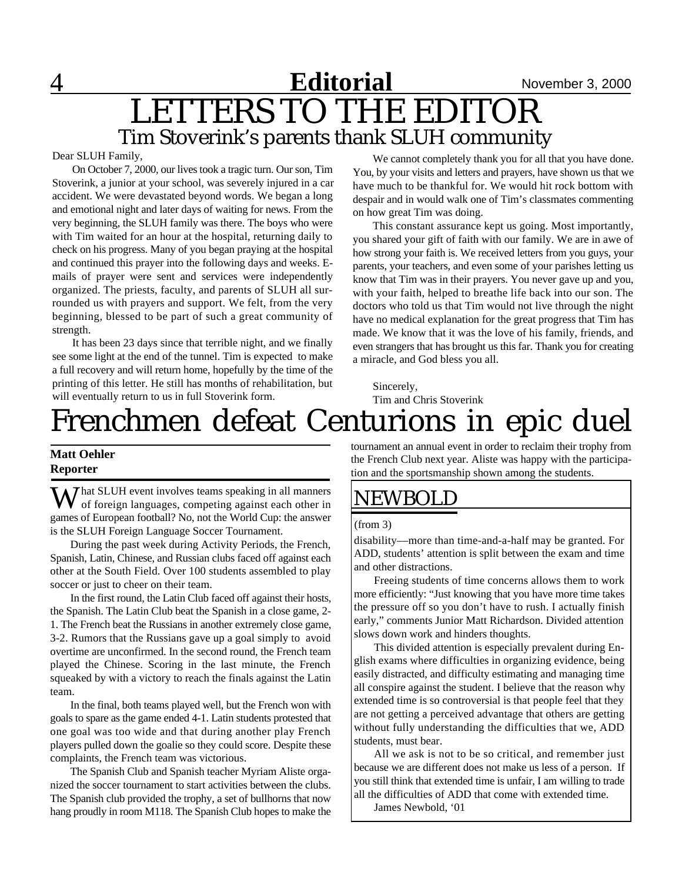### 4 **Editorial** November 3, 2000 LETTERS TO THE EDITOR Tim Stoverink's parents thank SLUH community

#### Dear SLUH Family,

On October 7, 2000, our lives took a tragic turn. Our son, Tim Stoverink, a junior at your school, was severely injured in a car accident. We were devastated beyond words. We began a long and emotional night and later days of waiting for news. From the very beginning, the SLUH family was there. The boys who were with Tim waited for an hour at the hospital, returning daily to check on his progress. Many of you began praying at the hospital and continued this prayer into the following days and weeks. Emails of prayer were sent and services were independently organized. The priests, faculty, and parents of SLUH all surrounded us with prayers and support. We felt, from the very beginning, blessed to be part of such a great community of strength.

It has been 23 days since that terrible night, and we finally see some light at the end of the tunnel. Tim is expected to make a full recovery and will return home, hopefully by the time of the printing of this letter. He still has months of rehabilitation, but will eventually return to us in full Stoverink form.

We cannot completely thank you for all that you have done. You, by your visits and letters and prayers, have shown us that we have much to be thankful for. We would hit rock bottom with despair and in would walk one of Tim's classmates commenting on how great Tim was doing.

This constant assurance kept us going. Most importantly, you shared your gift of faith with our family. We are in awe of how strong your faith is. We received letters from you guys, your parents, your teachers, and even some of your parishes letting us know that Tim was in their prayers. You never gave up and you, with your faith, helped to breathe life back into our son. The doctors who told us that Tim would not live through the night have no medical explanation for the great progress that Tim has made. We know that it was the love of his family, friends, and even strangers that has brought us this far. Thank you for creating a miracle, and God bless you all.

Sincerely, Tim and Chris Stoverink

## Frenchmen defeat Centurions in epic duel

#### **Matt Oehler Reporter**

W hat SLUH event involves teams speaking in all manners<br>of foreign languages, competing against each other in games of European football? No, not the World Cup: the answer is the SLUH Foreign Language Soccer Tournament.

During the past week during Activity Periods, the French, Spanish, Latin, Chinese, and Russian clubs faced off against each other at the South Field. Over 100 students assembled to play soccer or just to cheer on their team.

In the first round, the Latin Club faced off against their hosts, the Spanish. The Latin Club beat the Spanish in a close game, 2- 1. The French beat the Russians in another extremely close game, 3-2. Rumors that the Russians gave up a goal simply to avoid overtime are unconfirmed. In the second round, the French team played the Chinese. Scoring in the last minute, the French squeaked by with a victory to reach the finals against the Latin team.

In the final, both teams played well, but the French won with goals to spare as the game ended 4-1. Latin students protested that one goal was too wide and that during another play French players pulled down the goalie so they could score. Despite these complaints, the French team was victorious.

The Spanish Club and Spanish teacher Myriam Aliste organized the soccer tournament to start activities between the clubs. The Spanish club provided the trophy, a set of bullhorns that now hang proudly in room M118. The Spanish Club hopes to make the tournament an annual event in order to reclaim their trophy from the French Club next year. Aliste was happy with the participation and the sportsmanship shown among the students.

### NEWBOLD

#### (from 3)

disability––more than time-and-a-half may be granted. For ADD, students' attention is split between the exam and time and other distractions.

Freeing students of time concerns allows them to work more efficiently: "Just knowing that you have more time takes the pressure off so you don't have to rush. I actually finish early," comments Junior Matt Richardson. Divided attention slows down work and hinders thoughts.

This divided attention is especially prevalent during English exams where difficulties in organizing evidence, being easily distracted, and difficulty estimating and managing time all conspire against the student. I believe that the reason why extended time is so controversial is that people feel that they are not getting a perceived advantage that others are getting without fully understanding the difficulties that we, ADD students, must bear.

All we ask is not to be so critical, and remember just because we are different does not make us less of a person. If you still think that extended time is unfair, I am willing to trade all the difficulties of ADD that come with extended time.

James Newbold, '01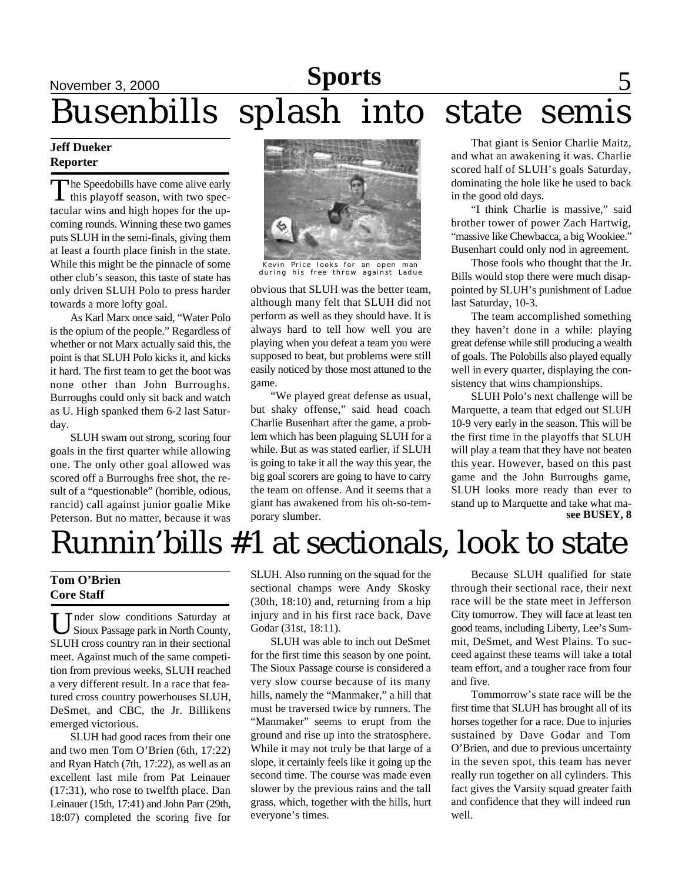## November 3, 2000 September 15, 2000 September 22, 2000 **Editorial Sports News** 5 Busenbills splash into state semis

#### **Jeff Dueker Reporter**

The Speedobills have come alive early<br>this playoff season, with two spec-I this playoff season, with two spectacular wins and high hopes for the upcoming rounds. Winning these two games puts SLUH in the semi-finals, giving them at least a fourth place finish in the state. While this might be the pinnacle of some other club's season, this taste of state has only driven SLUH Polo to press harder towards a more lofty goal.

As Karl Marx once said, "Water Polo is the opium of the people." Regardless of whether or not Marx actually said this, the point is that SLUH Polo kicks it, and kicks it hard. The first team to get the boot was none other than John Burroughs. Burroughs could only sit back and watch as U. High spanked them 6-2 last Saturday.

SLUH swam out strong, scoring four goals in the first quarter while allowing one. The only other goal allowed was scored off a Burroughs free shot, the result of a "questionable" (horrible, odious, rancid) call against junior goalie Mike Peterson. But no matter, because it was



Kevin Price looks for an open man during his free throw against Ladue

obvious that SLUH was the better team, although many felt that SLUH did not perform as well as they should have. It is always hard to tell how well you are playing when you defeat a team you were supposed to beat, but problems were still easily noticed by those most attuned to the game.

"We played great defense as usual, but shaky offense," said head coach Charlie Busenhart after the game, a problem which has been plaguing SLUH for a while. But as was stated earlier, if SLUH is going to take it all the way this year, the big goal scorers are going to have to carry the team on offense. And it seems that a giant has awakened from his oh-so-temporary slumber.

That giant is Senior Charlie Maitz, and what an awakening it was. Charlie scored half of SLUH's goals Saturday, dominating the hole like he used to back in the good old days.

"I think Charlie is massive," said brother tower of power Zach Hartwig, "massive like Chewbacca, a big Wookiee." Busenhart could only nod in agreement.

Those fools who thought that the Jr. Bills would stop there were much disappointed by SLUH's punishment of Ladue last Saturday, 10-3.

The team accomplished something they haven't done in a while: playing great defense while still producing a wealth of goals. The Polobills also played equally well in every quarter, displaying the consistency that wins championships.

SLUH Polo's next challenge will be Marquette, a team that edged out SLUH 10-9 very early in the season. This will be the first time in the playoffs that SLUH will play a team that they have not beaten this year. However, based on this past game and the John Burroughs game, SLUH looks more ready than ever to stand up to Marquette and take what ma**see BUSEY, 8**

## Runnin'bills #1 at sectionals, look to state

#### **Tom O'Brien Core Staff**

U nder slow conditions Saturday at<br>Sioux Passage park in North County, Sioux Passage park in North County, SLUH cross country ran in their sectional meet. Against much of the same competition from previous weeks, SLUH reached a very different result. In a race that featured cross country powerhouses SLUH, DeSmet, and CBC, the Jr. Billikens emerged victorious.

SLUH had good races from their one and two men Tom O'Brien (6th, 17:22) and Ryan Hatch (7th, 17:22), as well as an excellent last mile from Pat Leinauer (17:31), who rose to twelfth place. Dan Leinauer (15th, 17:41) and John Parr (29th, 18:07) completed the scoring five for

SLUH. Also running on the squad for the sectional champs were Andy Skosky (30th, 18:10) and, returning from a hip injury and in his first race back, Dave Godar (31st, 18:11).

SLUH was able to inch out DeSmet for the first time this season by one point. The Sioux Passage course is considered a very slow course because of its many hills, namely the "Manmaker," a hill that must be traversed twice by runners. The "Manmaker" seems to erupt from the ground and rise up into the stratosphere. While it may not truly be that large of a slope, it certainly feels like it going up the second time. The course was made even slower by the previous rains and the tall grass, which, together with the hills, hurt everyone's times.

Because SLUH qualified for state through their sectional race, their next race will be the state meet in Jefferson City tomorrow. They will face at least ten good teams, including Liberty, Lee's Summit, DeSmet, and West Plains. To succeed against these teams will take a total team effort, and a tougher race from four and five.

Tommorrow's state race will be the first time that SLUH has brought all of its horses together for a race. Due to injuries sustained by Dave Godar and Tom O'Brien, and due to previous uncertainty in the seven spot, this team has never really run together on all cylinders. This fact gives the Varsity squad greater faith and confidence that they will indeed run well.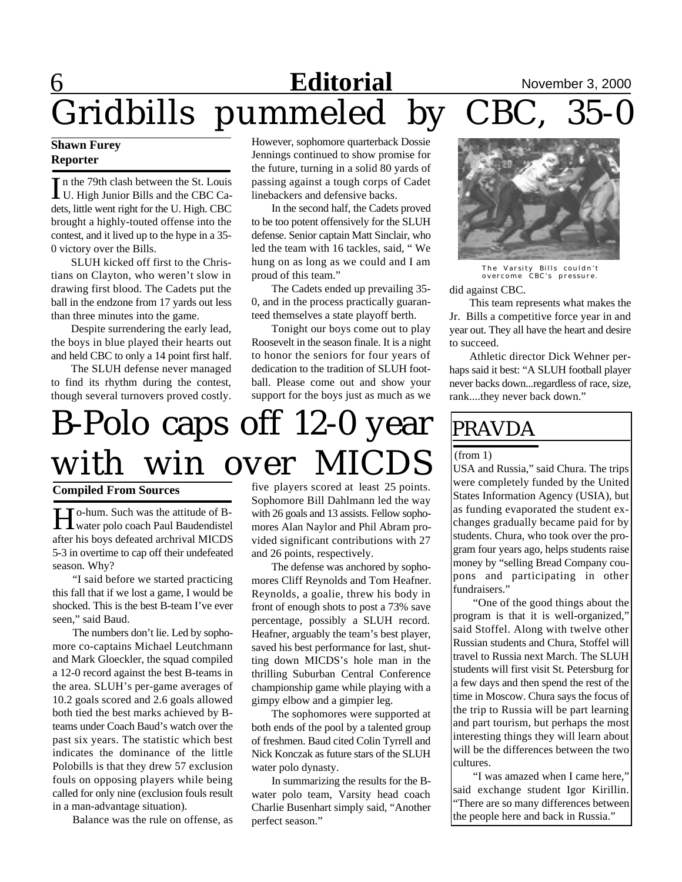## Editorial November 3, 2000<br>meled by CBC, 35-0 Gridbills pummeled by

#### **Shawn Furey Reporter**

In the 79th clash between the St. Louis<br>U. High Junior Bills and the CBC Ca-In the 79th clash between the St. Louis dets, little went right for the U. High. CBC brought a highly-touted offense into the contest, and it lived up to the hype in a 35- 0 victory over the Bills.

SLUH kicked off first to the Christians on Clayton, who weren't slow in drawing first blood. The Cadets put the ball in the endzone from 17 yards out less than three minutes into the game.

Despite surrendering the early lead, the boys in blue played their hearts out and held CBC to only a 14 point first half.

The SLUH defense never managed to find its rhythm during the contest, though several turnovers proved costly. However, sophomore quarterback Dossie Jennings continued to show promise for the future, turning in a solid 80 yards of passing against a tough corps of Cadet linebackers and defensive backs.

In the second half, the Cadets proved to be too potent offensively for the SLUH defense. Senior captain Matt Sinclair, who led the team with 16 tackles, said, " We hung on as long as we could and I am proud of this team."

The Cadets ended up prevailing 35- 0, and in the process practically guaranteed themselves a state playoff berth.

Tonight our boys come out to play Roosevelt in the season finale. It is a night to honor the seniors for four years of dedication to the tradition of SLUH football. Please come out and show your support for the boys just as much as we

## B-Polo caps off 12-0 year with win over MICDS

#### **Compiled From Sources**

Ho-hum. Such was the attitude of B-<br>
Water polo coach Paul Baudendistel water polo coach Paul Baudendistel after his boys defeated archrival MICDS 5-3 in overtime to cap off their undefeated season. Why?

"I said before we started practicing this fall that if we lost a game, I would be shocked. This is the best B-team I've ever seen," said Baud.

The numbers don't lie. Led by sophomore co-captains Michael Leutchmann and Mark Gloeckler, the squad compiled a 12-0 record against the best B-teams in the area. SLUH's per-game averages of 10.2 goals scored and 2.6 goals allowed both tied the best marks achieved by Bteams under Coach Baud's watch over the past six years. The statistic which best indicates the dominance of the little Polobills is that they drew 57 exclusion fouls on opposing players while being called for only nine (exclusion fouls result in a man-advantage situation).

Balance was the rule on offense, as

five players scored at least 25 points. Sophomore Bill Dahlmann led the way with 26 goals and 13 assists. Fellow sophomores Alan Naylor and Phil Abram provided significant contributions with 27 and 26 points, respectively.

The defense was anchored by sophomores Cliff Reynolds and Tom Heafner. Reynolds, a goalie, threw his body in front of enough shots to post a 73% save percentage, possibly a SLUH record. Heafner, arguably the team's best player, saved his best performance for last, shutting down MICDS's hole man in the thrilling Suburban Central Conference championship game while playing with a gimpy elbow and a gimpier leg.

The sophomores were supported at both ends of the pool by a talented group of freshmen. Baud cited Colin Tyrrell and Nick Konczak as future stars of the SLUH water polo dynasty.

In summarizing the results for the Bwater polo team, Varsity head coach Charlie Busenhart simply said, "Another perfect season."



did against CBC. The Varsity Bills couldn't overcome CBC's pressure.

This team represents what makes the Jr. Bills a competitive force year in and year out. They all have the heart and desire to succeed.

Athletic director Dick Wehner perhaps said it best: "A SLUH football player never backs down...regardless of race, size, rank....they never back down."

### PRAVDA

#### (from 1)

USA and Russia," said Chura. The trips were completely funded by the United States Information Agency (USIA), but as funding evaporated the student exchanges gradually became paid for by students. Chura, who took over the program four years ago, helps students raise money by "selling Bread Company coupons and participating in other fundraisers."

"One of the good things about the program is that it is well-organized," said Stoffel. Along with twelve other Russian students and Chura, Stoffel will travel to Russia next March. The SLUH students will first visit St. Petersburg for a few days and then spend the rest of the time in Moscow. Chura says the focus of the trip to Russia will be part learning and part tourism, but perhaps the most interesting things they will learn about will be the differences between the two cultures.

"I was amazed when I came here," said exchange student Igor Kirillin. "There are so many differences between the people here and back in Russia."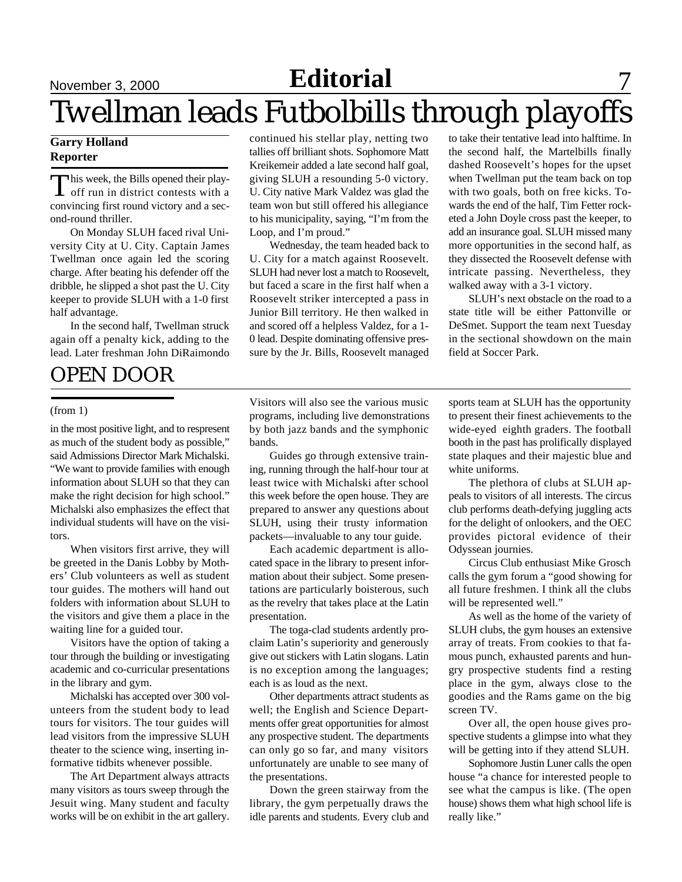## November 3, 2000 **Editorial** Twellman leads Futbolbills through playoffs

#### **Garry Holland Reporter**

This week, the Bills opened their play-<br>off run in district contests with a his week, the Bills opened their playconvincing first round victory and a second-round thriller.

On Monday SLUH faced rival University City at U. City. Captain James Twellman once again led the scoring charge. After beating his defender off the dribble, he slipped a shot past the U. City keeper to provide SLUH with a 1-0 first half advantage.

In the second half, Twellman struck again off a penalty kick, adding to the lead. Later freshman John DiRaimondo

### OPEN DOOR

#### (from 1)

in the most positive light, and to respresent as much of the student body as possible," said Admissions Director Mark Michalski. "We want to provide families with enough information about SLUH so that they can make the right decision for high school." Michalski also emphasizes the effect that individual students will have on the visitors.

When visitors first arrive, they will be greeted in the Danis Lobby by Mothers' Club volunteers as well as student tour guides. The mothers will hand out folders with information about SLUH to the visitors and give them a place in the waiting line for a guided tour.

Visitors have the option of taking a tour through the building or investigating academic and co-curricular presentations in the library and gym.

Michalski has accepted over 300 volunteers from the student body to lead tours for visitors. The tour guides will lead visitors from the impressive SLUH theater to the science wing, inserting informative tidbits whenever possible.

The Art Department always attracts many visitors as tours sweep through the Jesuit wing. Many student and faculty works will be on exhibit in the art gallery. continued his stellar play, netting two tallies off brilliant shots. Sophomore Matt Kreikemeir added a late second half goal, giving SLUH a resounding 5-0 victory. U. City native Mark Valdez was glad the team won but still offered his allegiance to his municipality, saying, "I'm from the Loop, and I'm proud."

Wednesday, the team headed back to U. City for a match against Roosevelt. SLUH had never lost a match to Roosevelt, but faced a scare in the first half when a Roosevelt striker intercepted a pass in Junior Bill territory. He then walked in and scored off a helpless Valdez, for a 1- 0 lead. Despite dominating offensive pressure by the Jr. Bills, Roosevelt managed to take their tentative lead into halftime. In the second half, the Martelbills finally dashed Roosevelt's hopes for the upset when Twellman put the team back on top with two goals, both on free kicks. Towards the end of the half, Tim Fetter rocketed a John Doyle cross past the keeper, to add an insurance goal. SLUH missed many more opportunities in the second half, as they dissected the Roosevelt defense with intricate passing. Nevertheless, they walked away with a 3-1 victory.

SLUH's next obstacle on the road to a state title will be either Pattonville or DeSmet. Support the team next Tuesday in the sectional showdown on the main field at Soccer Park.

Visitors will also see the various music programs, including live demonstrations by both jazz bands and the symphonic bands.

Guides go through extensive training, running through the half-hour tour at least twice with Michalski after school this week before the open house. They are prepared to answer any questions about SLUH, using their trusty information packets—invaluable to any tour guide.

Each academic department is allocated space in the library to present information about their subject. Some presentations are particularly boisterous, such as the revelry that takes place at the Latin presentation.

The toga-clad students ardently proclaim Latin's superiority and generously give out stickers with Latin slogans. Latin is no exception among the languages; each is as loud as the next.

Other departments attract students as well; the English and Science Departments offer great opportunities for almost any prospective student. The departments can only go so far, and many visitors unfortunately are unable to see many of the presentations.

Down the green stairway from the library, the gym perpetually draws the idle parents and students. Every club and sports team at SLUH has the opportunity to present their finest achievements to the wide-eyed eighth graders. The football booth in the past has prolifically displayed state plaques and their majestic blue and white uniforms.

The plethora of clubs at SLUH appeals to visitors of all interests. The circus club performs death-defying juggling acts for the delight of onlookers, and the OEC provides pictoral evidence of their Odyssean journies.

Circus Club enthusiast Mike Grosch calls the gym forum a "good showing for all future freshmen. I think all the clubs will be represented well."

As well as the home of the variety of SLUH clubs, the gym houses an extensive array of treats. From cookies to that famous punch, exhausted parents and hungry prospective students find a resting place in the gym, always close to the goodies and the Rams game on the big screen TV.

Over all, the open house gives prospective students a glimpse into what they will be getting into if they attend SLUH.

Sophomore Justin Luner calls the open house "a chance for interested people to see what the campus is like. (The open house) shows them what high school life is really like."